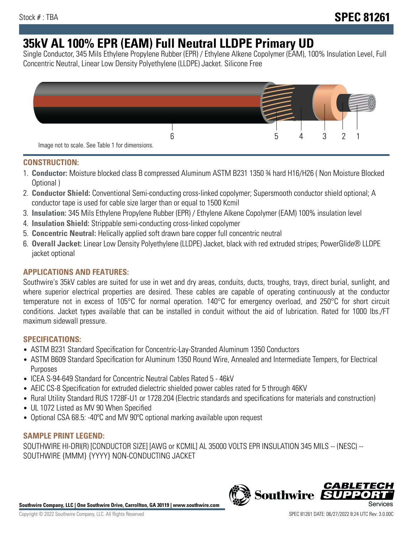# **35kV AL 100% EPR (EAM) Full Neutral LLDPE Primary UD**

Single Conductor, 345 Mils Ethylene Propylene Rubber (EPR) / Ethylene Alkene Copolymer (EAM), 100% Insulation Level, Full Concentric Neutral, Linear Low Density Polyethylene (LLDPE) Jacket. Silicone Free



### **CONSTRUCTION:**

- 1. **Conductor:** Moisture blocked class B compressed Aluminum ASTM B231 1350 ¾ hard H16/H26 ( Non Moisture Blocked Optional )
- 2. **Conductor Shield:** Conventional Semi-conducting cross-linked copolymer; Supersmooth conductor shield optional; A conductor tape is used for cable size larger than or equal to 1500 Kcmil
- 3. **Insulation:** 345 Mils Ethylene Propylene Rubber (EPR) / Ethylene Alkene Copolymer (EAM) 100% insulation level
- 4. **Insulation Shield:** Strippable semi-conducting cross-linked copolymer
- 5. **Concentric Neutral:** Helically applied soft drawn bare copper full concentric neutral
- 6. **Overall Jacket:** Linear Low Density Polyethylene (LLDPE) Jacket, black with red extruded stripes; PowerGlide® LLDPE jacket optional

## **APPLICATIONS AND FEATURES:**

Southwire's 35kV cables are suited for use in wet and dry areas, conduits, ducts, troughs, trays, direct burial, sunlight, and where superior electrical properties are desired. These cables are capable of operating continuously at the conductor temperature not in excess of 105°C for normal operation. 140°C for emergency overload, and 250°C for short circuit conditions. Jacket types available that can be installed in conduit without the aid of lubrication. Rated for 1000 lbs./FT maximum sidewall pressure.

## **SPECIFICATIONS:**

- ASTM B231 Standard Specification for Concentric-Lay-Stranded Aluminum 1350 Conductors
- ASTM B609 Standard Specification for Aluminum 1350 Round Wire, Annealed and Intermediate Tempers, for Electrical Purposes
- ICEA S-94-649 Standard for Concentric Neutral Cables Rated 5 46kV
- AEIC CS-8 Specification for extruded dielectric shielded power cables rated for 5 through 46KV
- Rural Utility Standard RUS 1728F-U1 or 1728.204 (Electric standards and specifications for materials and construction)
- UL 1072 Listed as MV 90 When Specified
- Optional CSA 68.5: -40ºC and MV 90ºC optional marking available upon request

### **SAMPLE PRINT LEGEND:**

SOUTHWIRE HI-DRI(R) [CONDUCTOR SIZE] [AWG or KCMIL] AL 35000 VOLTS EPR INSULATION 345 MILS -- (NESC) -- SOUTHWIRE {MMM} {YYYY} NON-CONDUCTING JACKET



**Southwire** 

*CABLE*